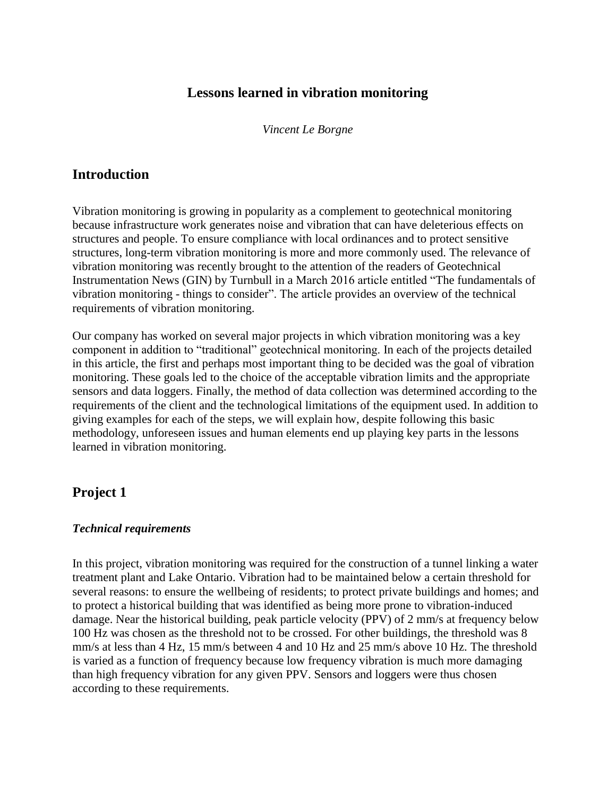## **Lessons learned in vibration monitoring**

*Vincent Le Borgne*

### **Introduction**

Vibration monitoring is growing in popularity as a complement to geotechnical monitoring because infrastructure work generates noise and vibration that can have deleterious effects on structures and people. To ensure compliance with local ordinances and to protect sensitive structures, long-term vibration monitoring is more and more commonly used. The relevance of vibration monitoring was recently brought to the attention of the readers of Geotechnical Instrumentation News (GIN) by Turnbull in a March 2016 article entitled "The fundamentals of vibration monitoring - things to consider". The article provides an overview of the technical requirements of vibration monitoring.

Our company has worked on several major projects in which vibration monitoring was a key component in addition to "traditional" geotechnical monitoring. In each of the projects detailed in this article, the first and perhaps most important thing to be decided was the goal of vibration monitoring. These goals led to the choice of the acceptable vibration limits and the appropriate sensors and data loggers. Finally, the method of data collection was determined according to the requirements of the client and the technological limitations of the equipment used. In addition to giving examples for each of the steps, we will explain how, despite following this basic methodology, unforeseen issues and human elements end up playing key parts in the lessons learned in vibration monitoring.

## **Project 1**

### *Technical requirements*

In this project, vibration monitoring was required for the construction of a tunnel linking a water treatment plant and Lake Ontario. Vibration had to be maintained below a certain threshold for several reasons: to ensure the wellbeing of residents; to protect private buildings and homes; and to protect a historical building that was identified as being more prone to vibration-induced damage. Near the historical building, peak particle velocity (PPV) of 2 mm/s at frequency below 100 Hz was chosen as the threshold not to be crossed. For other buildings, the threshold was 8 mm/s at less than 4 Hz, 15 mm/s between 4 and 10 Hz and 25 mm/s above 10 Hz. The threshold is varied as a function of frequency because low frequency vibration is much more damaging than high frequency vibration for any given PPV. Sensors and loggers were thus chosen according to these requirements.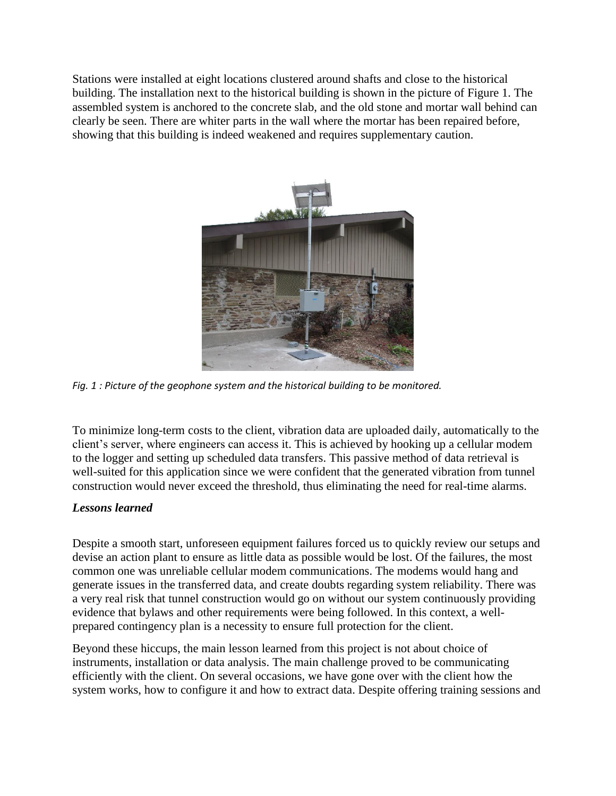Stations were installed at eight locations clustered around shafts and close to the historical building. The installation next to the historical building is shown in the picture of Figure 1. The assembled system is anchored to the concrete slab, and the old stone and mortar wall behind can clearly be seen. There are whiter parts in the wall where the mortar has been repaired before, showing that this building is indeed weakened and requires supplementary caution.



*Fig. 1 : Picture of the geophone system and the historical building to be monitored.*

To minimize long-term costs to the client, vibration data are uploaded daily, automatically to the client's server, where engineers can access it. This is achieved by hooking up a cellular modem to the logger and setting up scheduled data transfers. This passive method of data retrieval is well-suited for this application since we were confident that the generated vibration from tunnel construction would never exceed the threshold, thus eliminating the need for real-time alarms.

### *Lessons learned*

Despite a smooth start, unforeseen equipment failures forced us to quickly review our setups and devise an action plant to ensure as little data as possible would be lost. Of the failures, the most common one was unreliable cellular modem communications. The modems would hang and generate issues in the transferred data, and create doubts regarding system reliability. There was a very real risk that tunnel construction would go on without our system continuously providing evidence that bylaws and other requirements were being followed. In this context, a wellprepared contingency plan is a necessity to ensure full protection for the client.

Beyond these hiccups, the main lesson learned from this project is not about choice of instruments, installation or data analysis. The main challenge proved to be communicating efficiently with the client. On several occasions, we have gone over with the client how the system works, how to configure it and how to extract data. Despite offering training sessions and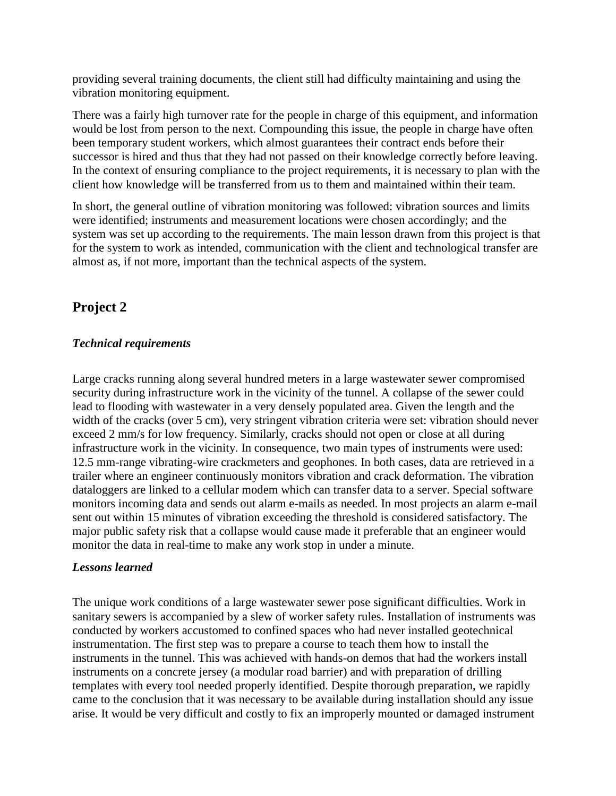providing several training documents, the client still had difficulty maintaining and using the vibration monitoring equipment.

There was a fairly high turnover rate for the people in charge of this equipment, and information would be lost from person to the next. Compounding this issue, the people in charge have often been temporary student workers, which almost guarantees their contract ends before their successor is hired and thus that they had not passed on their knowledge correctly before leaving. In the context of ensuring compliance to the project requirements, it is necessary to plan with the client how knowledge will be transferred from us to them and maintained within their team.

In short, the general outline of vibration monitoring was followed: vibration sources and limits were identified; instruments and measurement locations were chosen accordingly; and the system was set up according to the requirements. The main lesson drawn from this project is that for the system to work as intended, communication with the client and technological transfer are almost as, if not more, important than the technical aspects of the system.

# **Project 2**

### *Technical requirements*

Large cracks running along several hundred meters in a large wastewater sewer compromised security during infrastructure work in the vicinity of the tunnel. A collapse of the sewer could lead to flooding with wastewater in a very densely populated area. Given the length and the width of the cracks (over 5 cm), very stringent vibration criteria were set: vibration should never exceed 2 mm/s for low frequency. Similarly, cracks should not open or close at all during infrastructure work in the vicinity. In consequence, two main types of instruments were used: 12.5 mm-range vibrating-wire crackmeters and geophones. In both cases, data are retrieved in a trailer where an engineer continuously monitors vibration and crack deformation. The vibration dataloggers are linked to a cellular modem which can transfer data to a server. Special software monitors incoming data and sends out alarm e-mails as needed. In most projects an alarm e-mail sent out within 15 minutes of vibration exceeding the threshold is considered satisfactory. The major public safety risk that a collapse would cause made it preferable that an engineer would monitor the data in real-time to make any work stop in under a minute.

### *Lessons learned*

The unique work conditions of a large wastewater sewer pose significant difficulties. Work in sanitary sewers is accompanied by a slew of worker safety rules. Installation of instruments was conducted by workers accustomed to confined spaces who had never installed geotechnical instrumentation. The first step was to prepare a course to teach them how to install the instruments in the tunnel. This was achieved with hands-on demos that had the workers install instruments on a concrete jersey (a modular road barrier) and with preparation of drilling templates with every tool needed properly identified. Despite thorough preparation, we rapidly came to the conclusion that it was necessary to be available during installation should any issue arise. It would be very difficult and costly to fix an improperly mounted or damaged instrument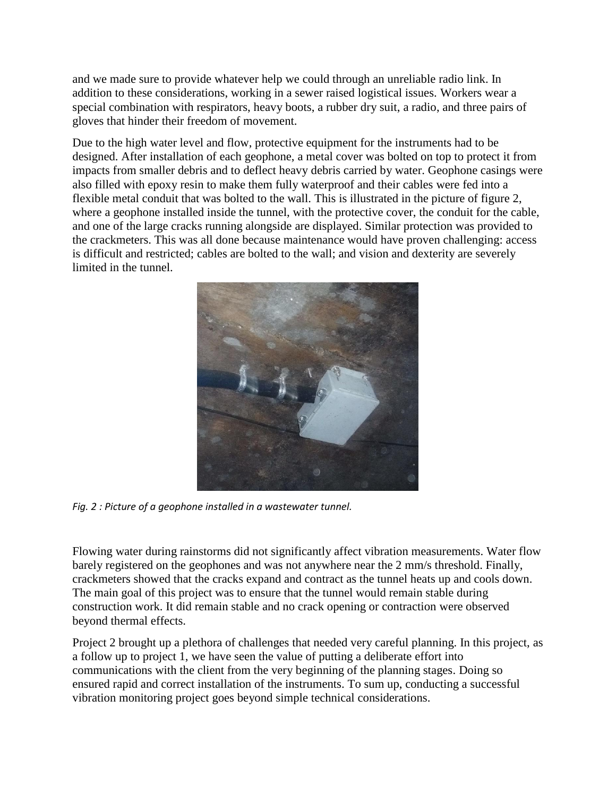and we made sure to provide whatever help we could through an unreliable radio link. In addition to these considerations, working in a sewer raised logistical issues. Workers wear a special combination with respirators, heavy boots, a rubber dry suit, a radio, and three pairs of gloves that hinder their freedom of movement.

Due to the high water level and flow, protective equipment for the instruments had to be designed. After installation of each geophone, a metal cover was bolted on top to protect it from impacts from smaller debris and to deflect heavy debris carried by water. Geophone casings were also filled with epoxy resin to make them fully waterproof and their cables were fed into a flexible metal conduit that was bolted to the wall. This is illustrated in the picture of figure 2, where a geophone installed inside the tunnel, with the protective cover, the conduit for the cable, and one of the large cracks running alongside are displayed. Similar protection was provided to the crackmeters. This was all done because maintenance would have proven challenging: access is difficult and restricted; cables are bolted to the wall; and vision and dexterity are severely limited in the tunnel.



*Fig. 2 : Picture of a geophone installed in a wastewater tunnel.*

Flowing water during rainstorms did not significantly affect vibration measurements. Water flow barely registered on the geophones and was not anywhere near the 2 mm/s threshold. Finally, crackmeters showed that the cracks expand and contract as the tunnel heats up and cools down. The main goal of this project was to ensure that the tunnel would remain stable during construction work. It did remain stable and no crack opening or contraction were observed beyond thermal effects.

Project 2 brought up a plethora of challenges that needed very careful planning. In this project, as a follow up to project 1, we have seen the value of putting a deliberate effort into communications with the client from the very beginning of the planning stages. Doing so ensured rapid and correct installation of the instruments. To sum up, conducting a successful vibration monitoring project goes beyond simple technical considerations.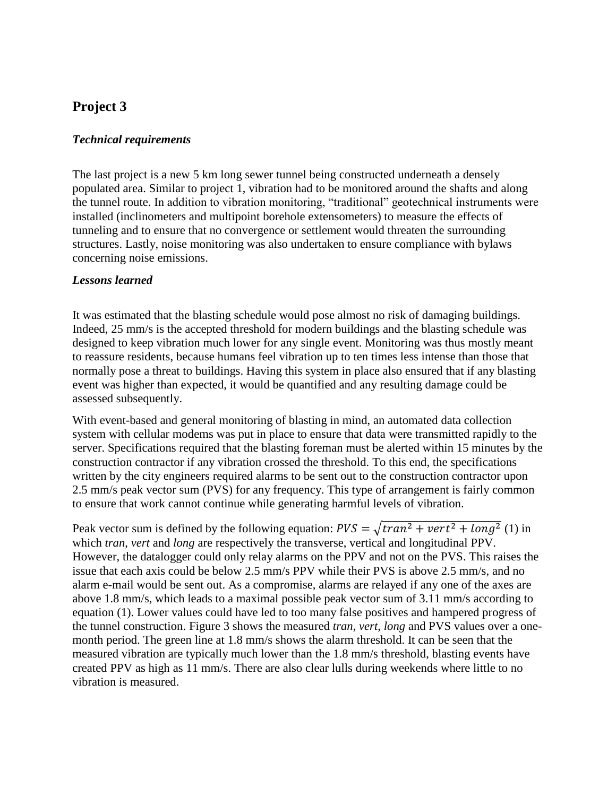# **Project 3**

#### *Technical requirements*

The last project is a new 5 km long sewer tunnel being constructed underneath a densely populated area. Similar to project 1, vibration had to be monitored around the shafts and along the tunnel route. In addition to vibration monitoring, "traditional" geotechnical instruments were installed (inclinometers and multipoint borehole extensometers) to measure the effects of tunneling and to ensure that no convergence or settlement would threaten the surrounding structures. Lastly, noise monitoring was also undertaken to ensure compliance with bylaws concerning noise emissions.

#### *Lessons learned*

It was estimated that the blasting schedule would pose almost no risk of damaging buildings. Indeed, 25 mm/s is the accepted threshold for modern buildings and the blasting schedule was designed to keep vibration much lower for any single event. Monitoring was thus mostly meant to reassure residents, because humans feel vibration up to ten times less intense than those that normally pose a threat to buildings. Having this system in place also ensured that if any blasting event was higher than expected, it would be quantified and any resulting damage could be assessed subsequently.

With event-based and general monitoring of blasting in mind, an automated data collection system with cellular modems was put in place to ensure that data were transmitted rapidly to the server. Specifications required that the blasting foreman must be alerted within 15 minutes by the construction contractor if any vibration crossed the threshold. To this end, the specifications written by the city engineers required alarms to be sent out to the construction contractor upon 2.5 mm/s peak vector sum (PVS) for any frequency. This type of arrangement is fairly common to ensure that work cannot continue while generating harmful levels of vibration.

Peak vector sum is defined by the following equation:  $PVS = \sqrt{tran^2 + vert^2 + long^2}$  (1) in which *tran*, *vert* and *long* are respectively the transverse, vertical and longitudinal PPV. However, the datalogger could only relay alarms on the PPV and not on the PVS. This raises the issue that each axis could be below 2.5 mm/s PPV while their PVS is above 2.5 mm/s, and no alarm e-mail would be sent out. As a compromise, alarms are relayed if any one of the axes are above 1.8 mm/s, which leads to a maximal possible peak vector sum of 3.11 mm/s according to equation (1). Lower values could have led to too many false positives and hampered progress of the tunnel construction. Figure 3 shows the measured *tran, vert, long* and PVS values over a onemonth period. The green line at 1.8 mm/s shows the alarm threshold. It can be seen that the measured vibration are typically much lower than the 1.8 mm/s threshold, blasting events have created PPV as high as 11 mm/s. There are also clear lulls during weekends where little to no vibration is measured.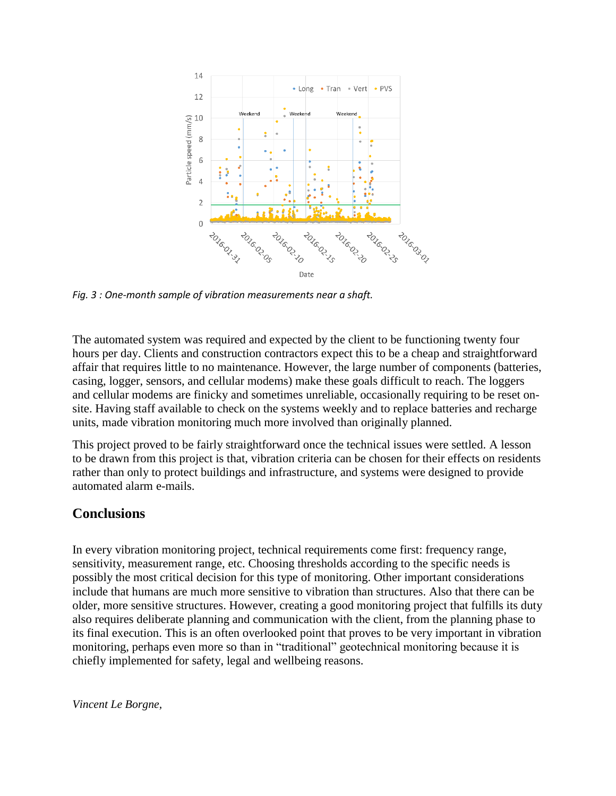

*Fig. 3 : One-month sample of vibration measurements near a shaft.*

The automated system was required and expected by the client to be functioning twenty four hours per day. Clients and construction contractors expect this to be a cheap and straightforward affair that requires little to no maintenance. However, the large number of components (batteries, casing, logger, sensors, and cellular modems) make these goals difficult to reach. The loggers and cellular modems are finicky and sometimes unreliable, occasionally requiring to be reset onsite. Having staff available to check on the systems weekly and to replace batteries and recharge units, made vibration monitoring much more involved than originally planned.

This project proved to be fairly straightforward once the technical issues were settled. A lesson to be drawn from this project is that, vibration criteria can be chosen for their effects on residents rather than only to protect buildings and infrastructure, and systems were designed to provide automated alarm e-mails.

### **Conclusions**

In every vibration monitoring project, technical requirements come first: frequency range, sensitivity, measurement range, etc. Choosing thresholds according to the specific needs is possibly the most critical decision for this type of monitoring. Other important considerations include that humans are much more sensitive to vibration than structures. Also that there can be older, more sensitive structures. However, creating a good monitoring project that fulfills its duty also requires deliberate planning and communication with the client, from the planning phase to its final execution. This is an often overlooked point that proves to be very important in vibration monitoring, perhaps even more so than in "traditional" geotechnical monitoring because it is chiefly implemented for safety, legal and wellbeing reasons.

*Vincent Le Borgne,*